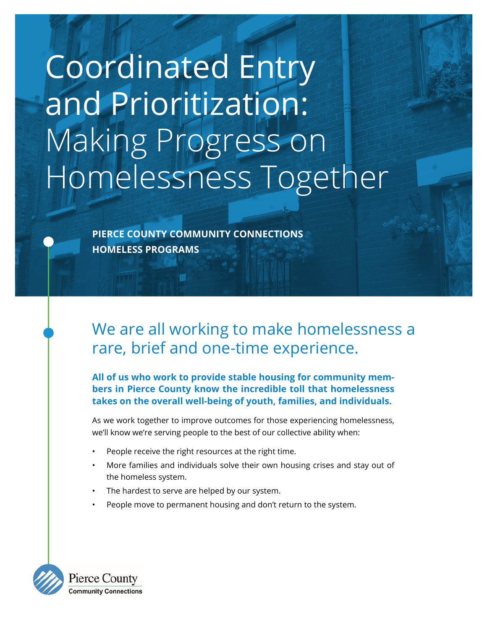# Coordinated Entry and Prioritization: Making Progress on Homelessness Together

**PIERCE COUNTY COMMUNITY CONNECTIONS HOMELESS PROGRAMS**

## We are all working to make homelessness a rare, brief and one-time experience.

**All of us who work to provide stable housing for community members in Pierce County know the incredible toll that homelessness takes on the overall well-being of youth, families, and individuals.** 

As we work together to improve outcomes for those experiencing homelessness, we'll know we're serving people to the best of our collective ability when:

- People receive the right resources at the right time.
- More families and individuals solve their own housing crises and stay out of the homeless system.
- The hardest to serve are helped by our system.
- People move to permanent housing and don't return to the system.

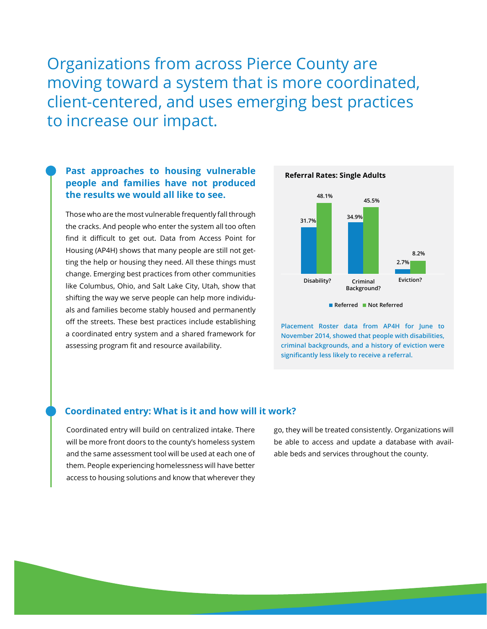Organizations from across Pierce County are moving toward a system that is more coordinated, client-centered, and uses emerging best practices to increase our impact.

### **Past approaches to housing vulnerable people and families have not produced the results we would all like to see.**

Those who are the most vulnerable frequently fall through the cracks. And people who enter the system all too often find it difficult to get out. Data from Access Point for Housing (AP4H) shows that many people are still not getting the help or housing they need. All these things must change. Emerging best practices from other communities like Columbus, Ohio, and Salt Lake City, Utah, show that shifting the way we serve people can help more individuals and families become stably housed and permanently off the streets. These best practices include establishing a coordinated entry system and a shared framework for assessing program fit and resource availability.



**Placement Roster data from AP4H for June to November 2014, showed that people with disabilities, criminal backgrounds, and a history of eviction were significantly less likely to receive a referral.**

#### **Coordinated entry: What is it and how will it work?**

Coordinated entry will build on centralized intake. There will be more front doors to the county's homeless system and the same assessment tool will be used at each one of them. People experiencing homelessness will have better access to housing solutions and know that wherever they

go, they will be treated consistently. Organizations will be able to access and update a database with available beds and services throughout the county.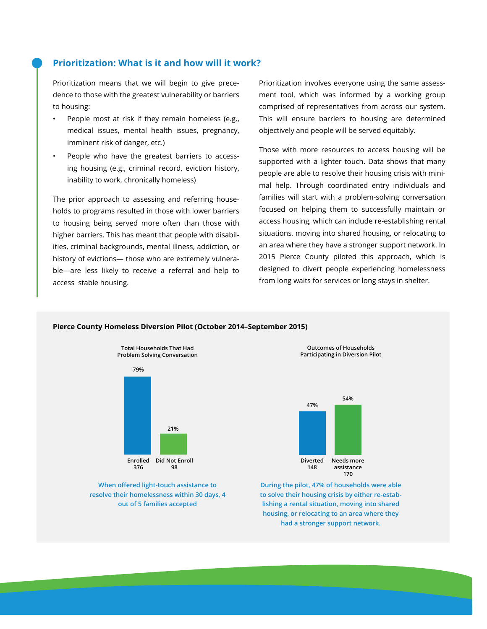#### **Prioritization: What is it and how will it work?**

Prioritization means that we will begin to give precedence to those with the greatest vulnerability or barriers to housing:

- People most at risk if they remain homeless (e.g., medical issues, mental health issues, pregnancy, imminent risk of danger, etc.)
- People who have the greatest barriers to accessing housing (e.g., criminal record, eviction history, inability to work, chronically homeless)

The prior approach to assessing and referring households to programs resulted in those with lower barriers to housing being served more often than those with higher barriers. This has meant that people with disabilities, criminal backgrounds, mental illness, addiction, or history of evictions— those who are extremely vulnerable—are less likely to receive a referral and help to access stable housing.

Prioritization involves everyone using the same assessment tool, which was informed by a working group comprised of representatives from across our system. This will ensure barriers to housing are determined objectively and people will be served equitably.

Those with more resources to access housing will be supported with a lighter touch. Data shows that many people are able to resolve their housing crisis with minimal help. Through coordinated entry individuals and families will start with a problem-solving conversation focused on helping them to successfully maintain or access housing, which can include re-establishing rental situations, moving into shared housing, or relocating to an area where they have a stronger support network. In 2015 Pierce County piloted this approach, which is designed to divert people experiencing homelessness from long waits for services or long stays in shelter.



#### **Pierce County Homeless Diversion Pilot (October 2014–September 2015)**